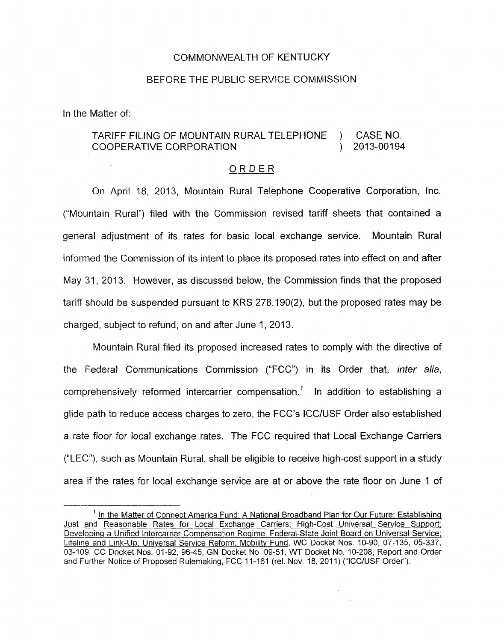## COMMONWEALTH OF KENTUCKY

## BEFORE THE PUBLIC SERVICE COMMISSION

In the Matter of:

## TARIFF FILING OF MOUNTAIN RURAL TELEPHONE ) CASE NO. COOPERATIVE CORPORATION ) 2013-00194

## ORDER

On April 18, 2013, Mountain Rural Telephone Cooperative Corporation, Inc. ("Mountain Rural") filed with the Commission revised tariff sheets that contained a general adjustment *of* its rates for basic local exchange service. Mountain Rural informed the Commission of its intent to place its proposed rates into effect on and after May 31, 2013. However, as discussed below, the Commission finds that the proposed tariff should be suspended pursuant to KRS 278.190(2), but the proposed rates may be charged, subject to refund, on and after June 1, 2013.

Mountain Rural filed its proposed increased rates to comply with the directive of the Federal Communications Commission ("FCC") in its Order that, *infer alia,*  comprehensively reformed intercarrier compensation.<sup>1</sup> In addition to establishing a glide path to reduce access charges to zero, the FCC's I.CC/USF Order also established a rate floor for local exchange rates. The FCC required that Local Exchange Carriers ("LEC"), such as Mountain Rural, shall be eligible to receive high-cost support in a study area if the rates for local exchange service are at or above the rate floor on June 1 of

<sup>&</sup>lt;sup>1</sup> In the Matter of Connect America Fund: A National Broadband Plan for Our Future; Establishing Just and Reasonable Rates for Local Exchanqe Carriers; High-Cost Universal Service Support; Developing a Unified Intercarrier Compensation Regime; Federal-State Joint Board on Universal Service; Lifeline and Link-Up; Universal Service Reform: Mobilitv Fund, WC Docket Nos. 10-90, 07-135, 05-337, 03-109, CC Docket Nos. 01-92, 96-45, GN Docket No. 09-51, WT Docket No. 10-208, Report and Order and Further Notice of Proposed Rulemaking, FCC 11-161 (rel. Nov. 18, 2011) ("ICC/USF Order").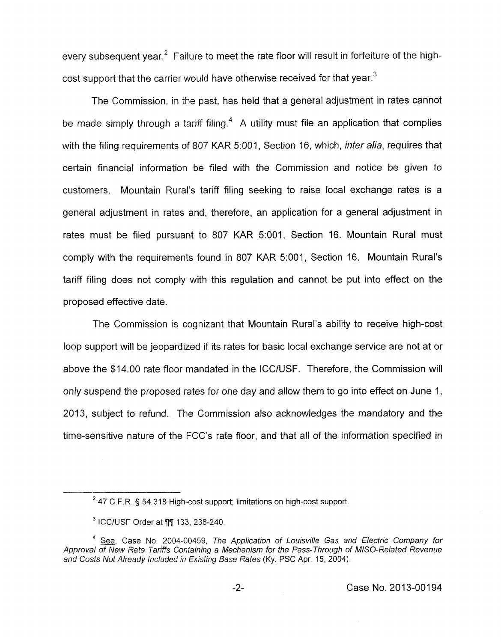every subsequent year.<sup>2</sup> Failure to meet the rate floor will result in forfeiture of the highcost support that the carrier would have otherwise received for that vear.<sup>3</sup>

The Commission, in the past, has held that a general adjustment in rates cannot be made simply through a tariff filing.<sup>4</sup> A utility must file an application that complies with the filing requirements of 807 KAR 5:001, Section 16, which, *inter alia*, requires that certain financial information be filed with the Commission and notice be given to customers. Mountain Rural's tariff filing seeking to raise local exchange rates is a general adjustment in rates and, therefore, an application for a general adjustment in rates must be filed pursuant to 807 KAR 5:001, Section 16. Mountain Rural must comply with the requirements found in 807 KAR 5:001, Section 16. Mountain Rural's tariff filing does not comply with this regulation and cannot be put into effect on the proposed effective date.

The Commission is cognizant that Mountain Rural's ability to receive high-cost loop support will be jeopardized if its rates for basic local exchange service are not at or above the \$14.00 rate floor mandated in the ICC/USF. Therefore, the Commission will only suspend the proposed rates for one day and allow them to go into effect on June 1 , 2013, subject to refund. The Commission also acknowledges the mandatory and the time-sensitive nature of the FCC's rate floor, and that all of the information specified in

<sup>&</sup>lt;sup>2</sup> 47 C.F.R. § 54.318 High-cost support; limitations on high-cost support.

 $3$  ICC/USF Order at  $\P\P$  133, 238-240.

<sup>&</sup>lt;sup>4</sup> See, Case No. 2004-00459, The Application of Louisville Gas and Electric Company for Approval of New Rate Tariffs Containing a Mechanism for the Pass-Through of MISO-Related Revenue *and Costs Not Already Included in Existing Base Rates (Ky. PSC Apr. 15, 2004).*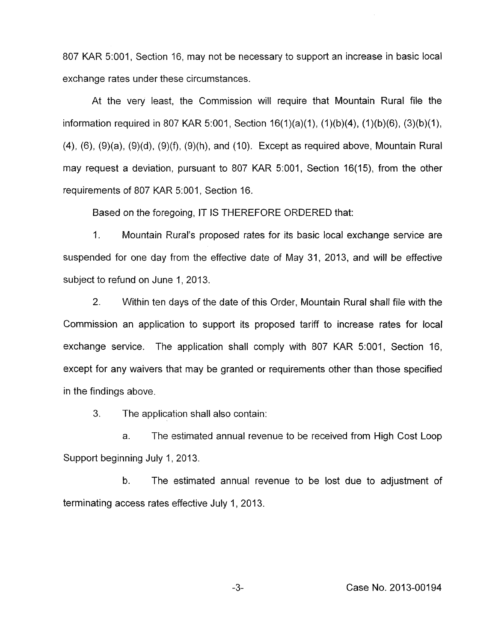807 KAR 5:001, Section 16, may not be necessary to support an increase in basic local exchange rates under these circumstances.

At the very least, the Commission will require that Mountain Rural file the information required in 807 KAR 5:001, Section  $16(1)(a)(1)$ ,  $(1)(b)(4)$ ,  $(1)(b)(6)$ ,  $(3)(b)(1)$ , **(4),** (6), (9)(a), (9)(d), (9)(f), (9)(h), and (IO). Except as required above, Mountain Rural may request a deviation, pursuant to 807 KAR 5:001, Section 16(15), from the other requirements of 807 KAR 5:001, Section 16.

Based on the foregoing, IT IS THEREFORE ORDERED that:

1. Mountain Rural's proposed rates for its basic local exchange service are suspended for one day from the effective date of May 31, 2013, and will be effective subject to refund on June 1, 2013.

2. Within ten days of the date of this Order, Mountain Rural shall file with the Commission an application to support its proposed tariff to increase rates for local exchange service. The application shall comply with 807 KAR 5:001, Section 16, except for any waivers that may be granted or requirements other than those specified in the findings above.

3. The application shall also contain:

a. The estimated annual revenue to be received from High Cost Loop Support beginning July 1, 2013.

b. The estimated annual revenue to be lost due to adjustment of terminating access rates effective July 1, 2013.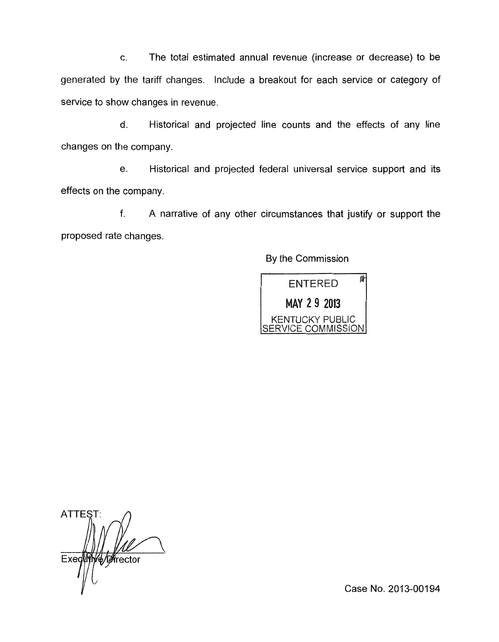c. The total estimated annual revenue (increase or decrease) to be generated by the tariff changes. Include a breakout for each service or category of service to show changes in revenue.

d. Historical and projected line counts and the effects of any line changes on the company.

e. Historical and projected federal universal service support and its effects on the company.

f. A narrative of any other circumstances that justify or support the proposed rate changes.

By the Commission

疳 **ENTERED** MAY 29 2013 KENTUCKY PUBLIC<br>SERVICE COMMISSION

**ATTEST** Exed t ∦frector

Case No. 2013-00194